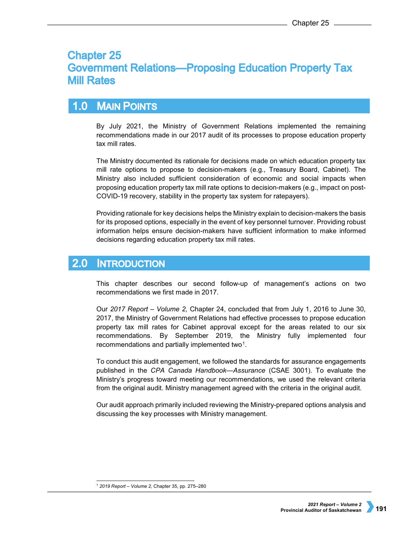# **Chapter 25 Government Relations-Proposing Education Property Tax Mill Rates**

### $1.0$ **MAIN POINTS**

By July 2021, the Ministry of Government Relations implemented the remaining recommendations made in our 2017 audit of its processes to propose education property tax mill rates.

The Ministry documented its rationale for decisions made on which education property tax mill rate options to propose to decision-makers (e.g., Treasury Board, Cabinet). The Ministry also included sufficient consideration of economic and social impacts when proposing education property tax mill rate options to decision-makers (e.g., impact on post-COVID-19 recovery, stability in the property tax system for ratepayers).

Providing rationale for key decisions helps the Ministry explain to decision-makers the basis for its proposed options, especially in the event of key personnel turnover. Providing robust information helps ensure decision-makers have sufficient information to make informed decisions regarding education property tax mill rates.

### $2.0$ **INTRODUCTION**

This chapter describes our second follow-up of management's actions on two recommendations we first made in 2017.

Our *2017 Report – Volume 2,* Chapter 24, concluded that from July 1, 2016 to June 30, 2017, the Ministry of Government Relations had effective processes to propose education property tax mill rates for Cabinet approval except for the areas related to our six recommendations. By September 2019, the Ministry fully implemented four recommendations and partially implemented two<sup>1</sup>.

To conduct this audit engagement, we followed the standards for assurance engagements published in the *CPA Canada Handbook—Assurance* (CSAE 3001). To evaluate the Ministry's progress toward meeting our recommendations, we used the relevant criteria from the original audit. Ministry management agreed with the criteria in the original audit.

Our audit approach primarily included reviewing the Ministry-prepared options analysis and discussing the key processes with Ministry management.

<span id="page-0-0"></span> <sup>1</sup> *2019 Report – Volume 2*, Chapter 35, pp. 275–280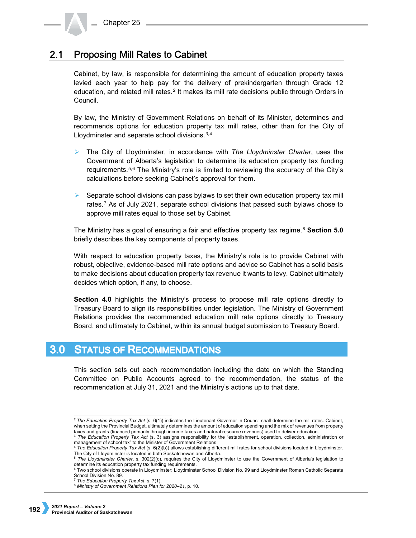#### **Proposing Mill Rates to Cabinet**  $2.1$

Cabinet, by law, is responsible for determining the amount of education property taxes levied each year to help pay for the delivery of prekindergarten through Grade 12 education, and related mill rates.[2](#page-1-0) It makes its mill rate decisions public through Orders in Council.

By law, the Ministry of Government Relations on behalf of its Minister, determines and recommends options for education property tax mill rates, other than for the City of Lloydminster and separate school divisions.[3](#page-1-1),[4](#page-1-2)

- The City of Lloydminster, in accordance with *The Lloydminster Charter*, uses the Government of Alberta's legislation to determine its education property tax funding requirements.[5,](#page-1-3)[6](#page-1-4) The Ministry's role is limited to reviewing the accuracy of the City's calculations before seeking Cabinet's approval for them.
- $\triangleright$  Separate school divisions can pass bylaws to set their own education property tax mill rates.[7](#page-1-5) As of July 2021, separate school divisions that passed such bylaws chose to approve mill rates equal to those set by Cabinet.

The Ministry has a goal of ensuring a fair and effective property tax regime.<sup>[8](#page-1-6)</sup> Section 5.0 briefly describes the key components of property taxes.

With respect to education property taxes, the Ministry's role is to provide Cabinet with robust, objective, evidence-based mill rate options and advice so Cabinet has a solid basis to make decisions about education property tax revenue it wants to levy. Cabinet ultimately decides which option, if any, to choose.

**Section 4.0** highlights the Ministry's process to propose mill rate options directly to Treasury Board to align its responsibilities under legislation. The Ministry of Government Relations provides the recommended education mill rate options directly to Treasury Board, and ultimately to Cabinet, within its annual budget submission to Treasury Board.

### **STATUS OF RECOMMENDATIONS**  $3.0<sub>1</sub>$

This section sets out each recommendation including the date on which the Standing Committee on Public Accounts agreed to the recommendation, the status of the recommendation at July 31, 2021 and the Ministry's actions up to that date.

<span id="page-1-0"></span> <sup>2</sup> *The Education Property Tax Act* (s. 6(1)) indicates the Lieutenant Governor in Council shall determine the mill rates. Cabinet, when setting the Provincial Budget, ultimately determines the amount of education spending and the mix of revenues from property taxes and grants (financed primarily through income taxes and natural resource revenues) used to deliver education.<br><sup>3</sup> *The Education Property Tax Act* (s. 3) assigns responsibility for the "establishment, operation, coll

<span id="page-1-1"></span>management of school tax" to the Minister of Government Relations.

<span id="page-1-2"></span><sup>4</sup> *The Education Property Tax Act* (s. 6(2)(b)) allows establishing different mill rates for school divisions located in Lloydminster. The City of Lloydminster is located in both Saskatchewan and Alberta.

<span id="page-1-3"></span><sup>5</sup> *The Lloydminster Charter*, s. 302(2)(c), requires the City of Lloydminster to use the Government of Alberta's legislation to determine its education property tax funding requirements.

<span id="page-1-4"></span><sup>&</sup>lt;sup>6</sup> Two school divisions operate in Lloydminster: Lloydminster School Division No. 99 and Lloydminster Roman Catholic Separate School Division No. 89.

<sup>7</sup> *The Education Property Tax Act*, s. 7(1).

<span id="page-1-6"></span><span id="page-1-5"></span><sup>8</sup> *Ministry of Government Relations Plan for 2020–21*, p. 10.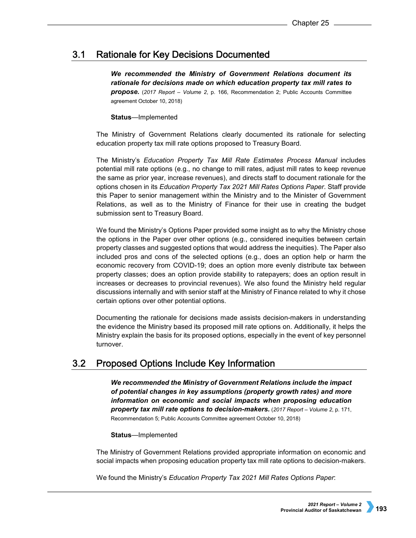### $3.1$ **Rationale for Key Decisions Documented**

*We recommended the Ministry of Government Relations document its rationale for decisions made on which education property tax mill rates to propose.* (*2017 Report – Volume 2*, p. 166, Recommendation 2; Public Accounts Committee agreement October 10, 2018)

## **Status**—Implemented

The Ministry of Government Relations clearly documented its rationale for selecting education property tax mill rate options proposed to Treasury Board.

The Ministry's *Education Property Tax Mill Rate Estimates Process Manual* includes potential mill rate options (e.g., no change to mill rates, adjust mill rates to keep revenue the same as prior year, increase revenues), and directs staff to document rationale for the options chosen in its *Education Property Tax 2021 Mill Rates Options Paper*. Staff provide this Paper to senior management within the Ministry and to the Minister of Government Relations, as well as to the Ministry of Finance for their use in creating the budget submission sent to Treasury Board.

We found the Ministry's Options Paper provided some insight as to why the Ministry chose the options in the Paper over other options (e.g., considered inequities between certain property classes and suggested options that would address the inequities). The Paper also included pros and cons of the selected options (e.g., does an option help or harm the economic recovery from COVID-19; does an option more evenly distribute tax between property classes; does an option provide stability to ratepayers; does an option result in increases or decreases to provincial revenues). We also found the Ministry held regular discussions internally and with senior staff at the Ministry of Finance related to why it chose certain options over other potential options.

Documenting the rationale for decisions made assists decision-makers in understanding the evidence the Ministry based its proposed mill rate options on. Additionally, it helps the Ministry explain the basis for its proposed options, especially in the event of key personnel turnover.

### $3.2<sub>2</sub>$ **Proposed Options Include Key Information**

*We recommended the Ministry of Government Relations include the impact of potential changes in key assumptions (property growth rates) and more information on economic and social impacts when proposing education property tax mill rate options to decision-makers.* (*2017 Report – Volume 2*, p. 171, Recommendation 5; Public Accounts Committee agreement October 10, 2018)

**Status**—Implemented

The Ministry of Government Relations provided appropriate information on economic and social impacts when proposing education property tax mill rate options to decision-makers.

We found the Ministry's *Education Property Tax 2021 Mill Rates Options Paper*: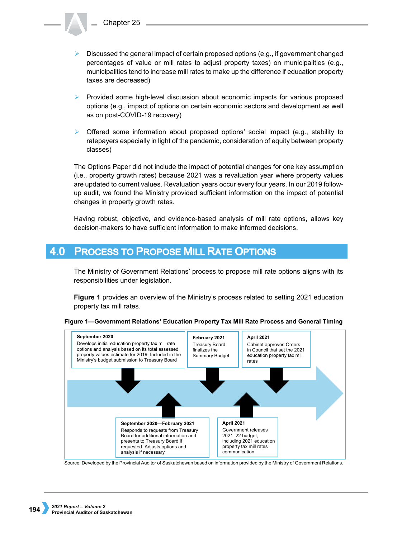- $\triangleright$  Discussed the general impact of certain proposed options (e.g., if government changed percentages of value or mill rates to adjust property taxes) on municipalities (e.g., municipalities tend to increase mill rates to make up the difference if education property taxes are decreased)
- $\triangleright$  Provided some high-level discussion about economic impacts for various proposed options (e.g., impact of options on certain economic sectors and development as well as on post-COVID-19 recovery)
- $\triangleright$  Offered some information about proposed options' social impact (e.g., stability to ratepayers especially in light of the pandemic, consideration of equity between property classes)

The Options Paper did not include the impact of potential changes for one key assumption (i.e., property growth rates) because 2021 was a revaluation year where property values are updated to current values. Revaluation years occur every four years. In our 2019 followup audit, we found the Ministry provided sufficient information on the impact of potential changes in property growth rates.

Having robust, objective, and evidence-based analysis of mill rate options, allows key decision-makers to have sufficient information to make informed decisions.

### **PROCESS TO PROPOSE MILL RATE OPTIONS**  $4.0$

The Ministry of Government Relations' process to propose mill rate options aligns with its responsibilities under legislation.

**Figure 1** provides an overview of the Ministry's process related to setting 2021 education property tax mill rates.



**Figure 1—Government Relations' Education Property Tax Mill Rate Process and General Timing**

Source: Developed by the Provincial Auditor of Saskatchewan based on information provided by the Ministry of Government Relations.